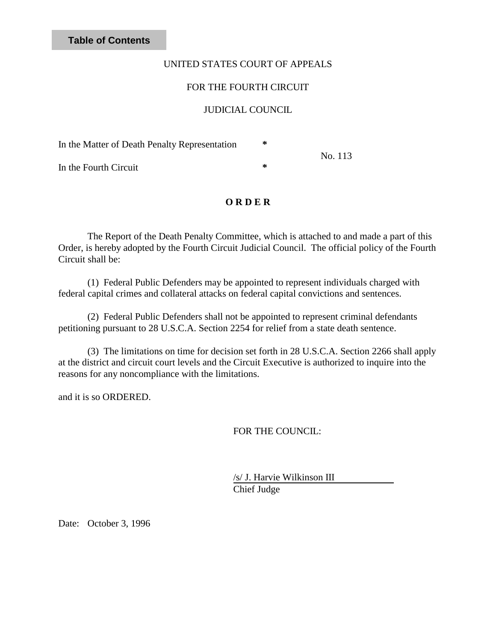#### UNITED STATES COURT OF APPEALS

#### FOR THE FOURTH CIRCUIT

#### JUDICIAL COUNCIL

| In the Matter of Death Penalty Representation | ⋇ |         |
|-----------------------------------------------|---|---------|
|                                               |   | No. 113 |
| In the Fourth Circuit                         | ∗ |         |

## **O R D E R**

The Report of the Death Penalty Committee, which is attached to and made a part of this Order, is hereby adopted by the Fourth Circuit Judicial Council. The official policy of the Fourth Circuit shall be:

(1) Federal Public Defenders may be appointed to represent individuals charged with federal capital crimes and collateral attacks on federal capital convictions and sentences.

(2) Federal Public Defenders shall not be appointed to represent criminal defendants petitioning pursuant to 28 U.S.C.A. Section 2254 for relief from a state death sentence.

(3) The limitations on time for decision set forth in 28 U.S.C.A. Section 2266 shall apply at the district and circuit court levels and the Circuit Executive is authorized to inquire into the reasons for any noncompliance with the limitations.

and it is so ORDERED.

FOR THE COUNCIL:

/s/ J. Harvie Wilkinson III Chief Judge

Date: October 3, 1996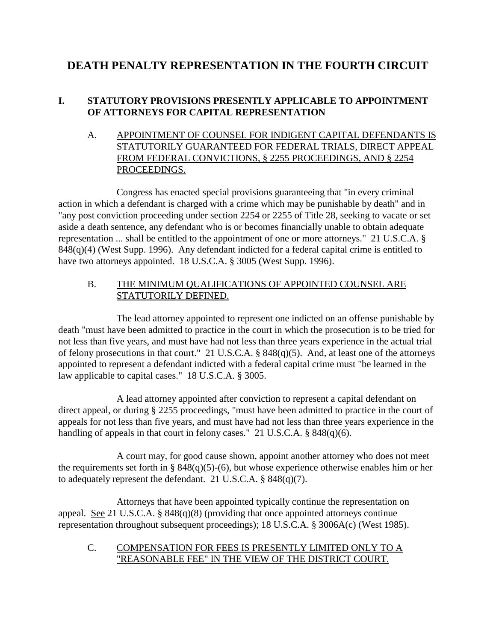# **DEATH PENALTY REPRESENTATION IN THE FOURTH CIRCUIT**

# **I. STATUTORY PROVISIONS PRESENTLY APPLICABLE TO APPOINTMENT OF ATTORNEYS FOR CAPITAL REPRESENTATION**

## A. APPOINTMENT OF COUNSEL FOR INDIGENT CAPITAL DEFENDANTS IS STATUTORILY GUARANTEED FOR FEDERAL TRIALS, DIRECT APPEAL FROM FEDERAL CONVICTIONS, § 2255 PROCEEDINGS, AND § 2254 PROCEEDINGS.

Congress has enacted special provisions guaranteeing that "in every criminal action in which a defendant is charged with a crime which may be punishable by death" and in "any post conviction proceeding under section 2254 or 2255 of Title 28, seeking to vacate or set aside a death sentence, any defendant who is or becomes financially unable to obtain adequate representation ... shall be entitled to the appointment of one or more attorneys." 21 U.S.C.A. § 848(q)(4) (West Supp. 1996). Any defendant indicted for a federal capital crime is entitled to have two attorneys appointed. 18 U.S.C.A. § 3005 (West Supp. 1996).

## B. THE MINIMUM QUALIFICATIONS OF APPOINTED COUNSEL ARE STATUTORILY DEFINED.

The lead attorney appointed to represent one indicted on an offense punishable by death "must have been admitted to practice in the court in which the prosecution is to be tried for not less than five years, and must have had not less than three years experience in the actual trial of felony prosecutions in that court." 21 U.S.C.A. § 848(q)(5). And, at least one of the attorneys appointed to represent a defendant indicted with a federal capital crime must "be learned in the law applicable to capital cases." 18 U.S.C.A. § 3005.

A lead attorney appointed after conviction to represent a capital defendant on direct appeal, or during § 2255 proceedings, "must have been admitted to practice in the court of appeals for not less than five years, and must have had not less than three years experience in the handling of appeals in that court in felony cases." 21 U.S.C.A. § 848(q)(6).

A court may, for good cause shown, appoint another attorney who does not meet the requirements set forth in §  $848(q)(5)-(6)$ , but whose experience otherwise enables him or her to adequately represent the defendant. 21 U.S.C.A. § 848(q)(7).

Attorneys that have been appointed typically continue the representation on appeal. See 21 U.S.C.A. § 848(q)(8) (providing that once appointed attorneys continue representation throughout subsequent proceedings); 18 U.S.C.A. § 3006A(c) (West 1985).

## C. COMPENSATION FOR FEES IS PRESENTLY LIMITED ONLY TO A "REASONABLE FEE" IN THE VIEW OF THE DISTRICT COURT.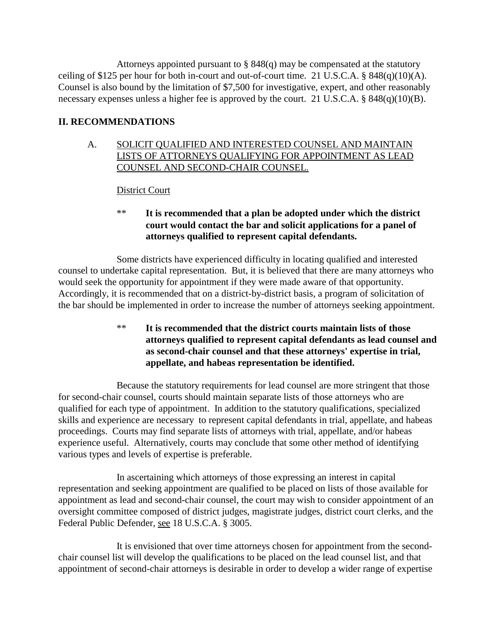Attorneys appointed pursuant to  $\S$  848(q) may be compensated at the statutory ceiling of \$125 per hour for both in-court and out-of-court time. 21 U.S.C.A. § 848(q)(10)(A). Counsel is also bound by the limitation of \$7,500 for investigative, expert, and other reasonably necessary expenses unless a higher fee is approved by the court. 21 U.S.C.A. § 848(q)(10)(B).

## **II. RECOMMENDATIONS**

### A. SOLICIT QUALIFIED AND INTERESTED COUNSEL AND MAINTAIN LISTS OF ATTORNEYS QUALIFYING FOR APPOINTMENT AS LEAD COUNSEL AND SECOND-CHAIR COUNSEL.

#### District Court

# \*\* **It is recommended that a plan be adopted under which the district court would contact the bar and solicit applications for a panel of attorneys qualified to represent capital defendants.**

Some districts have experienced difficulty in locating qualified and interested counsel to undertake capital representation. But, it is believed that there are many attorneys who would seek the opportunity for appointment if they were made aware of that opportunity. Accordingly, it is recommended that on a district-by-district basis, a program of solicitation of the bar should be implemented in order to increase the number of attorneys seeking appointment.

# \*\* **It is recommended that the district courts maintain lists of those attorneys qualified to represent capital defendants as lead counsel and as second-chair counsel and that these attorneys' expertise in trial, appellate, and habeas representation be identified.**

Because the statutory requirements for lead counsel are more stringent that those for second-chair counsel, courts should maintain separate lists of those attorneys who are qualified for each type of appointment. In addition to the statutory qualifications, specialized skills and experience are necessary to represent capital defendants in trial, appellate, and habeas proceedings. Courts may find separate lists of attorneys with trial, appellate, and/or habeas experience useful. Alternatively, courts may conclude that some other method of identifying various types and levels of expertise is preferable.

In ascertaining which attorneys of those expressing an interest in capital representation and seeking appointment are qualified to be placed on lists of those available for appointment as lead and second-chair counsel, the court may wish to consider appointment of an oversight committee composed of district judges, magistrate judges, district court clerks, and the Federal Public Defender, see 18 U.S.C.A. § 3005.

It is envisioned that over time attorneys chosen for appointment from the secondchair counsel list will develop the qualifications to be placed on the lead counsel list, and that appointment of second-chair attorneys is desirable in order to develop a wider range of expertise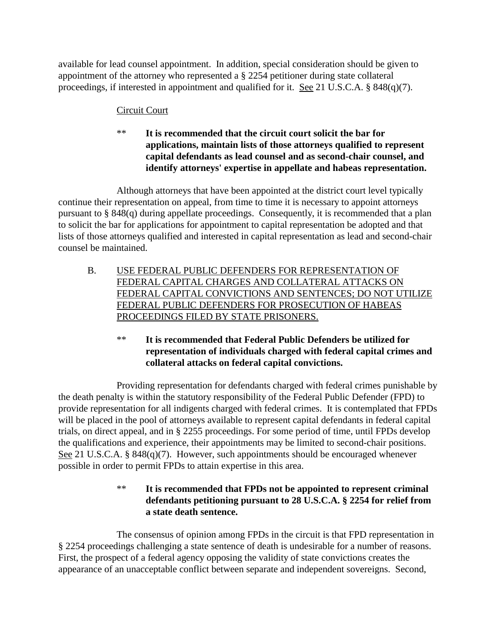available for lead counsel appointment. In addition, special consideration should be given to appointment of the attorney who represented a § 2254 petitioner during state collateral proceedings, if interested in appointment and qualified for it. See 21 U.S.C.A. § 848(q)(7).

# Circuit Court

# \*\* **It is recommended that the circuit court solicit the bar for applications, maintain lists of those attorneys qualified to represent capital defendants as lead counsel and as second-chair counsel, and identify attorneys' expertise in appellate and habeas representation.**

Although attorneys that have been appointed at the district court level typically continue their representation on appeal, from time to time it is necessary to appoint attorneys pursuant to § 848(q) during appellate proceedings. Consequently, it is recommended that a plan to solicit the bar for applications for appointment to capital representation be adopted and that lists of those attorneys qualified and interested in capital representation as lead and second-chair counsel be maintained.

B. USE FEDERAL PUBLIC DEFENDERS FOR REPRESENTATION OF FEDERAL CAPITAL CHARGES AND COLLATERAL ATTACKS ON FEDERAL CAPITAL CONVICTIONS AND SENTENCES; DO NOT UTILIZE FEDERAL PUBLIC DEFENDERS FOR PROSECUTION OF HABEAS PROCEEDINGS FILED BY STATE PRISONERS.

# \*\* **It is recommended that Federal Public Defenders be utilized for representation of individuals charged with federal capital crimes and collateral attacks on federal capital convictions.**

Providing representation for defendants charged with federal crimes punishable by the death penalty is within the statutory responsibility of the Federal Public Defender (FPD) to provide representation for all indigents charged with federal crimes. It is contemplated that FPDs will be placed in the pool of attorneys available to represent capital defendants in federal capital trials, on direct appeal, and in § 2255 proceedings. For some period of time, until FPDs develop the qualifications and experience, their appointments may be limited to second-chair positions. See 21 U.S.C.A. § 848(q)(7). However, such appointments should be encouraged whenever possible in order to permit FPDs to attain expertise in this area.

# \*\* **It is recommended that FPDs not be appointed to represent criminal defendants petitioning pursuant to 28 U.S.C.A. § 2254 for relief from a state death sentence.**

The consensus of opinion among FPDs in the circuit is that FPD representation in § 2254 proceedings challenging a state sentence of death is undesirable for a number of reasons. First, the prospect of a federal agency opposing the validity of state convictions creates the appearance of an unacceptable conflict between separate and independent sovereigns. Second,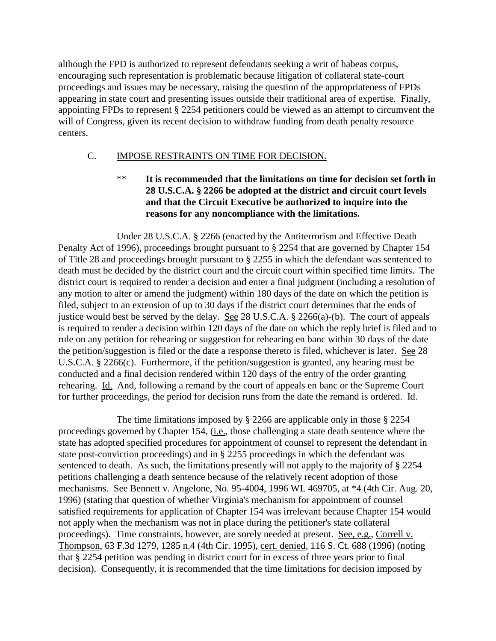although the FPD is authorized to represent defendants seeking a writ of habeas corpus, encouraging such representation is problematic because litigation of collateral state-court proceedings and issues may be necessary, raising the question of the appropriateness of FPDs appearing in state court and presenting issues outside their traditional area of expertise. Finally, appointing FPDs to represent § 2254 petitioners could be viewed as an attempt to circumvent the will of Congress, given its recent decision to withdraw funding from death penalty resource centers.

#### C. IMPOSE RESTRAINTS ON TIME FOR DECISION.

\*\* **It is recommended that the limitations on time for decision set forth in 28 U.S.C.A. § 2266 be adopted at the district and circuit court levels and that the Circuit Executive be authorized to inquire into the reasons for any noncompliance with the limitations.**

Under 28 U.S.C.A. § 2266 (enacted by the Antiterrorism and Effective Death Penalty Act of 1996), proceedings brought pursuant to § 2254 that are governed by Chapter 154 of Title 28 and proceedings brought pursuant to § 2255 in which the defendant was sentenced to death must be decided by the district court and the circuit court within specified time limits. The district court is required to render a decision and enter a final judgment (including a resolution of any motion to alter or amend the judgment) within 180 days of the date on which the petition is filed, subject to an extension of up to 30 days if the district court determines that the ends of justice would best be served by the delay. See 28 U.S.C.A. § 2266(a)-(b). The court of appeals is required to render a decision within 120 days of the date on which the reply brief is filed and to rule on any petition for rehearing or suggestion for rehearing en banc within 30 days of the date the petition/suggestion is filed or the date a response thereto is filed, whichever is later. See 28 U.S.C.A. § 2266(c). Furthermore, if the petition/suggestion is granted, any hearing must be conducted and a final decision rendered within 120 days of the entry of the order granting rehearing. Id. And, following a remand by the court of appeals en banc or the Supreme Court for further proceedings, the period for decision runs from the date the remand is ordered. Id.

The time limitations imposed by § 2266 are applicable only in those § 2254 proceedings governed by Chapter 154, (i.e., those challenging a state death sentence where the state has adopted specified procedures for appointment of counsel to represent the defendant in state post-conviction proceedings) and in § 2255 proceedings in which the defendant was sentenced to death. As such, the limitations presently will not apply to the majority of § 2254 petitions challenging a death sentence because of the relatively recent adoption of those mechanisms. See Bennett v. Angelone, No. 95-4004, 1996 WL 469705, at \*4 (4th Cir. Aug. 20, 1996) (stating that question of whether Virginia's mechanism for appointment of counsel satisfied requirements for application of Chapter 154 was irrelevant because Chapter 154 would not apply when the mechanism was not in place during the petitioner's state collateral proceedings). Time constraints, however, are sorely needed at present. See, e.g., Correll v. Thompson, 63 F.3d 1279, 1285 n.4 (4th Cir. 1995), cert. denied, 116 S. Ct. 688 (1996) (noting that § 2254 petition was pending in district court for in excess of three years prior to final decision). Consequently, it is recommended that the time limitations for decision imposed by